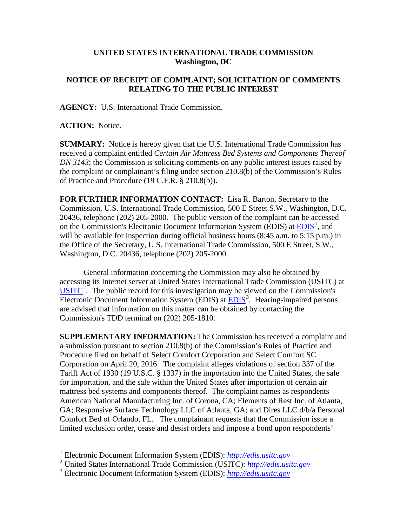## **UNITED STATES INTERNATIONAL TRADE COMMISSION Washington, DC**

## **NOTICE OF RECEIPT OF COMPLAINT; SOLICITATION OF COMMENTS RELATING TO THE PUBLIC INTEREST**

**AGENCY:** U.S. International Trade Commission.

**ACTION:** Notice.

**SUMMARY:** Notice is hereby given that the U.S. International Trade Commission has received a complaint entitled *Certain Air Mattress Bed Systems and Components Thereof DN 3143*; the Commission is soliciting comments on any public interest issues raised by the complaint or complainant's filing under section 210.8(b) of the Commission's Rules of Practice and Procedure (19 C.F.R. § 210.8(b)).

**FOR FURTHER INFORMATION CONTACT:** Lisa R. Barton, Secretary to the Commission, U.S. International Trade Commission, 500 E Street S.W., Washington, D.C. 20436, telephone (202) 205-2000. The public version of the complaint can be accessed on the Commission's Electronic Document Information System (EDIS) at  $\underline{EDIS}^1$  $\underline{EDIS}^1$ , and will be available for inspection during official business hours (8:45 a.m. to 5:15 p.m.) in the Office of the Secretary, U.S. International Trade Commission, 500 E Street, S.W., Washington, D.C. 20436, telephone (202) 205-2000.

General information concerning the Commission may also be obtained by accessing its Internet server at United States International Trade Commission (USITC) at  $\overline{\text{USITC}}^2$  $\overline{\text{USITC}}^2$  $\overline{\text{USITC}}^2$  $\overline{\text{USITC}}^2$ . The public record for this investigation may be viewed on the Commission's Electronic Document Information System (EDIS) at **EDIS**<sup>[3](#page-0-2)</sup>. Hearing-impaired persons are advised that information on this matter can be obtained by contacting the Commission's TDD terminal on (202) 205-1810.

**SUPPLEMENTARY INFORMATION:** The Commission has received a complaint and a submission pursuant to section 210.8(b) of the Commission's Rules of Practice and Procedure filed on behalf of Select Comfort Corporation and Select Comfort SC Corporation on April 20, 2016. The complaint alleges violations of section 337 of the Tariff Act of 1930 (19 U.S.C. § 1337) in the importation into the United States, the sale for importation, and the sale within the United States after importation of certain air mattress bed systems and components thereof. The complaint names as respondents American National Manufacturing Inc. of Corona, CA; Elements of Rest Inc. of Atlanta, GA; Responsive Surface Technology LLC of Atlanta, GA; and Dires LLC d/b/a Personal Comfort Bed of Orlando, FL. The complainant requests that the Commission issue a limited exclusion order, cease and desist orders and impose a bond upon respondents'

 <sup>1</sup> Electronic Document Information System (EDIS): *[http://edis.usitc.gov](http://edis.usitc.gov/)*

<span id="page-0-1"></span><span id="page-0-0"></span><sup>2</sup> United States International Trade Commission (USITC): *[http://edis.usitc.gov](http://edis.usitc.gov/)*

<span id="page-0-2"></span><sup>3</sup> Electronic Document Information System (EDIS): *[http://edis.usitc.gov](http://edis.usitc.gov/)*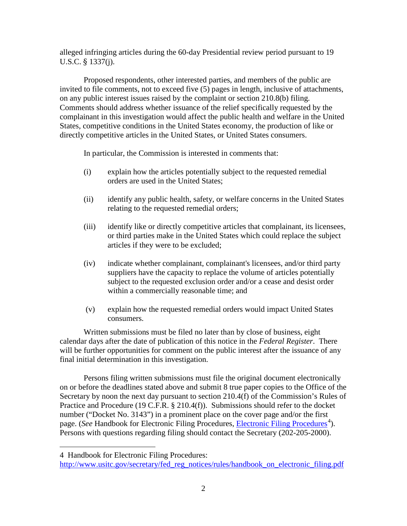alleged infringing articles during the 60-day Presidential review period pursuant to 19 U.S.C. § 1337(j).

Proposed respondents, other interested parties, and members of the public are invited to file comments, not to exceed five (5) pages in length, inclusive of attachments, on any public interest issues raised by the complaint or section 210.8(b) filing. Comments should address whether issuance of the relief specifically requested by the complainant in this investigation would affect the public health and welfare in the United States, competitive conditions in the United States economy, the production of like or directly competitive articles in the United States, or United States consumers.

In particular, the Commission is interested in comments that:

- (i) explain how the articles potentially subject to the requested remedial orders are used in the United States;
- (ii) identify any public health, safety, or welfare concerns in the United States relating to the requested remedial orders;
- (iii) identify like or directly competitive articles that complainant, its licensees, or third parties make in the United States which could replace the subject articles if they were to be excluded;
- (iv) indicate whether complainant, complainant's licensees, and/or third party suppliers have the capacity to replace the volume of articles potentially subject to the requested exclusion order and/or a cease and desist order within a commercially reasonable time; and
- (v) explain how the requested remedial orders would impact United States consumers.

Written submissions must be filed no later than by close of business, eight calendar days after the date of publication of this notice in the *Federal Register*. There will be further opportunities for comment on the public interest after the issuance of any final initial determination in this investigation.

Persons filing written submissions must file the original document electronically on or before the deadlines stated above and submit 8 true paper copies to the Office of the Secretary by noon the next day pursuant to section 210.4(f) of the Commission's Rules of Practice and Procedure (19 C.F.R. § 210.4(f)). Submissions should refer to the docket number ("Docket No. 3143") in a prominent place on the cover page and/or the first page. (*See* Handbook for [Electronic Filing Procedures](http://www.usitc.gov/secretary/fed_reg_notices/rules/handbook_on_electronic_filing.pdf), *Electronic Filing Procedures*<sup>[4](#page-1-0)</sup>). Persons with questions regarding filing should contact the Secretary (202-205-2000).

 $\overline{a}$ 

<span id="page-1-0"></span><sup>4</sup> Handbook for Electronic Filing Procedures:

[http://www.usitc.gov/secretary/fed\\_reg\\_notices/rules/handbook\\_on\\_electronic\\_filing.pdf](http://www.usitc.gov/secretary/fed_reg_notices/rules/handbook_on_electronic_filing.pdf)